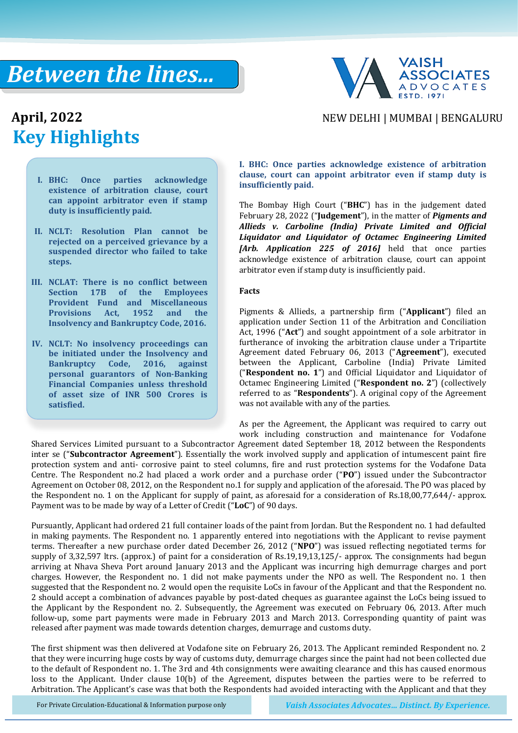## *Between the lines...*



# **Key Highlights**

### April, 2022 **April, 2022** NEW DELHI | MUMBAI | BENGALURU

- **I. BHC: Once parties acknowledge existence of arbitration clause, court can appoint arbitrator even if stamp duty is insufficiently paid.**
- **II. NCLT: Resolution Plan cannot be rejected on a perceived grievance by a suspended director who failed to take steps.**
- **III. NCLAT: There is no conflict between Section 17B of the Employees Provident Fund and Miscellaneous Provisions Act, 1952 and the Insolvency and Bankruptcy Code, 2016.**
- **IV. NCLT: No insolvency proceedings can be initiated under the Insolvency and Bankruptcy Code, 2016, against personal guarantors of Non-Banking Financial Companies unless threshold of asset size of INR 500 Crores is satisfied.**

#### **I. BHC: Once parties acknowledge existence of arbitration clause, court can appoint arbitrator even if stamp duty is insufficiently paid.**

The Bombay High Court ("**BHC**") has in the judgement dated February 28, 2022 ("**Judgement**"), in the matter of *Pigments and Allieds v. Carboline (India) Private Limited and Official Liquidator and Liquidator of Octamec Engineering Limited [Arb. Application 225 of 2016]* held that once parties acknowledge existence of arbitration clause, court can appoint arbitrator even if stamp duty is insufficiently paid.

#### **Facts**

Pigments & Allieds, a partnership firm ("**Applicant**") filed an application under Section 11 of the Arbitration and Conciliation Act, 1996 ("**Act**") and sought appointment of a sole arbitrator in furtherance of invoking the arbitration clause under a Tripartite Agreement dated February 06, 2013 ("**Agreement**"), executed between the Applicant, Carboline (India) Private Limited ("**Respondent no. 1**") and Official Liquidator and Liquidator of Octamec Engineering Limited ("**Respondent no. 2**") (collectively referred to as "**Respondents**"). A original copy of the Agreement was not available with any of the parties.

As per the Agreement, the Applicant was required to carry out work including construction and maintenance for Vodafone

Shared Services Limited pursuant to a Subcontractor Agreement dated September 18, 2012 between the Respondents inter se ("**Subcontractor Agreement**"). Essentially the work involved supply and application of intumescent paint fire protection system and anti- corrosive paint to steel columns, fire and rust protection systems for the Vodafone Data Centre. The Respondent no.2 had placed a work order and a purchase order ("**PO**") issued under the Subcontractor Agreement on October 08, 2012, on the Respondent no.1 for supply and application of the aforesaid. The PO was placed by the Respondent no. 1 on the Applicant for supply of paint, as aforesaid for a consideration of Rs.18,00,77,644/- approx. Payment was to be made by way of a Letter of Credit ("**LoC**") of 90 days.

Pursuantly, Applicant had ordered 21 full container loads of the paint from Jordan. But the Respondent no. 1 had defaulted in making payments. The Respondent no. 1 apparently entered into negotiations with the Applicant to revise payment terms. Thereafter a new purchase order dated December 26, 2012 ("**NPO**") was issued reflecting negotiated terms for supply of 3,32,597 ltrs. (approx.) of paint for a consideration of Rs.19,19,13,125/- approx. The consignments had begun arriving at Nhava Sheva Port around January 2013 and the Applicant was incurring high demurrage charges and port charges. However, the Respondent no. 1 did not make payments under the NPO as well. The Respondent no. 1 then suggested that the Respondent no. 2 would open the requisite LoCs in favour of the Applicant and that the Respondent no. 2 should accept a combination of advances payable by post-dated cheques as guarantee against the LoCs being issued to the Applicant by the Respondent no. 2. Subsequently, the Agreement was executed on February 06, 2013. After much follow-up, some part payments were made in February 2013 and March 2013. Corresponding quantity of paint was released after payment was made towards detention charges, demurrage and customs duty.

The first shipment was then delivered at Vodafone site on February 26, 2013. The Applicant reminded Respondent no. 2 that they were incurring huge costs by way of customs duty, demurrage charges since the paint had not been collected due to the default of Respondent no. 1. The 3rd and 4th consignments were awaiting clearance and this has caused enormous loss to the Applicant. Under clause 10(b) of the Agreement, disputes between the parties were to be referred to Arbitration. The Applicant's case was that both the Respondents had avoided interacting with the Applicant and that they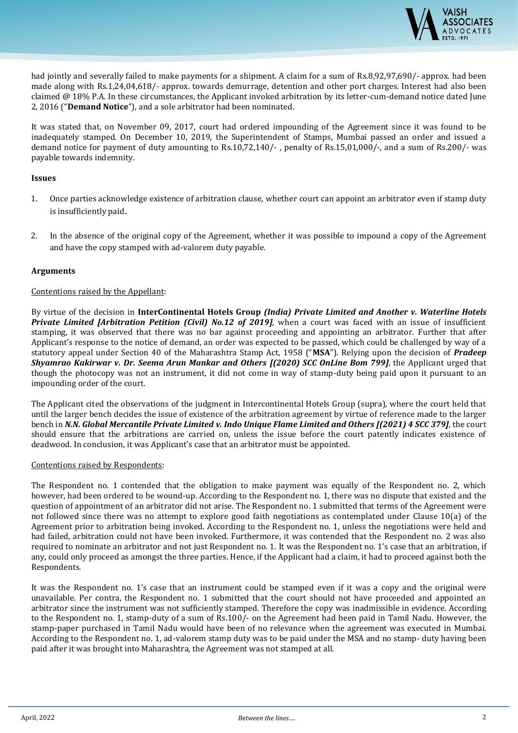

had jointly and severally failed to make payments for a shipment. A claim for a sum of Rs.8,92,97,690/- approx. had been made along with Rs.1,24,04,618/- approx. towards demurrage, detention and other port charges. Interest had also been claimed @ 18% P.A. In these circumstances, the Applicant invoked arbitration by its letter-cum-demand notice dated June 2, 2016 ("**Demand Notice**"), and a sole arbitrator had been nominated.

It was stated that, on November 09, 2017, court had ordered impounding of the Agreement since it was found to be inadequately stamped. On December 10, 2019, the Superintendent of Stamps, Mumbai passed an order and issued a demand notice for payment of duty amounting to Rs.10,72,140/- , penalty of Rs.15,01,000/-, and a sum of Rs.200/- was payable towards indemnity.

#### **Issues**

- 1. Once parties acknowledge existence of arbitration clause, whether court can appoint an arbitrator even if stamp duty is insufficiently paid.
- 2. In the absence of the original copy of the Agreement, whether it was possible to impound a copy of the Agreement and have the copy stamped with ad-valorem duty payable.

#### **Arguments**

#### Contentions raised by the Appellant:

By virtue of the decision in **InterContinental Hotels Group** *(India) Private Limited and Another v. Waterline Hotels Private Limited [Arbitration Petition (Civil) No.12 of 2019],* when a court was faced with an issue of insufficient stamping, it was observed that there was no bar against proceeding and appointing an arbitrator. Further that after Applicant's response to the notice of demand, an order was expected to be passed, which could be challenged by way of a statutory appeal under Section 40 of the Maharashtra Stamp Act, 1958 ("**MSA**"). Relying upon the decision of *Pradeep Shyamrao Kakirwar v. Dr. Seema Arun Mankar and Others [(2020) SCC OnLine Bom 799]*, the Applicant urged that though the photocopy was not an instrument, it did not come in way of stamp-duty being paid upon it pursuant to an impounding order of the court.

The Applicant cited the observations of the judgment in Intercontinental Hotels Group (supra), where the court held that until the larger bench decides the issue of existence of the arbitration agreement by virtue of reference made to the larger bench in *N.N. Global Mercantile Private Limited v. Indo Unique Flame Limited and Others [(2021) 4 SCC 379]*, the court should ensure that the arbitrations are carried on, unless the issue before the court patently indicates existence of deadwood. In conclusion, it was Applicant's case that an arbitrator must be appointed.

#### Contentions raised by Respondents:

The Respondent no. 1 contended that the obligation to make payment was equally of the Respondent no. 2, which however, had been ordered to be wound-up. According to the Respondent no. 1, there was no dispute that existed and the question of appointment of an arbitrator did not arise. The Respondent no. 1 submitted that terms of the Agreement were not followed since there was no attempt to explore good faith negotiations as contemplated under Clause 10(a) of the Agreement prior to arbitration being invoked. According to the Respondent no. 1, unless the negotiations were held and had failed, arbitration could not have been invoked. Furthermore, it was contended that the Respondent no. 2 was also required to nominate an arbitrator and not just Respondent no. 1. It was the Respondent no. 1's case that an arbitration, if any, could only proceed as amongst the three parties. Hence, if the Applicant had a claim, it had to proceed against both the Respondents.

It was the Respondent no. 1's case that an instrument could be stamped even if it was a copy and the original were unavailable. Per contra, the Respondent no. 1 submitted that the court should not have proceeded and appointed an arbitrator since the instrument was not sufficiently stamped. Therefore the copy was inadmissible in evidence. According to the Respondent no. 1, stamp-duty of a sum of Rs.100/- on the Agreement had been paid in Tamil Nadu. However, the stamp-paper purchased in Tamil Nadu would have been of no relevance when the agreement was executed in Mumbai. According to the Respondent no. 1, ad-valorem stamp duty was to be paid under the MSA and no stamp- duty having been paid after it was brought into Maharashtra, the Agreement was not stamped at all.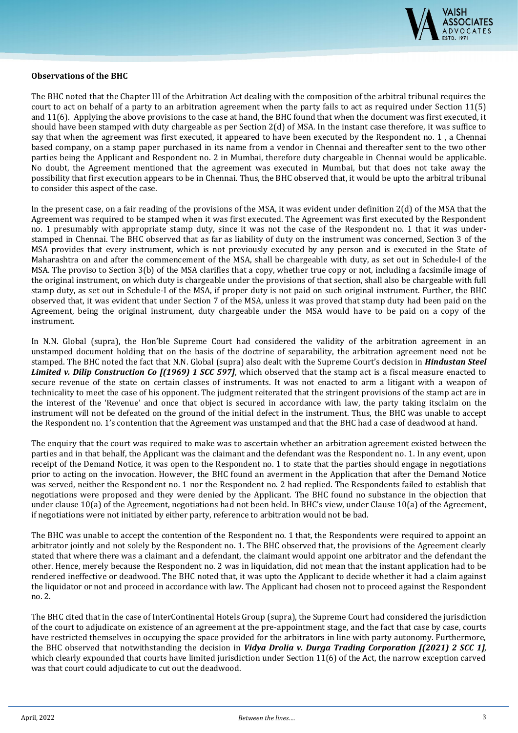

#### **Observations of the BHC**

The BHC noted that the Chapter III of the Arbitration Act dealing with the composition of the arbitral tribunal requires the court to act on behalf of a party to an arbitration agreement when the party fails to act as required under Section 11(5) and 11(6). Applying the above provisions to the case at hand, the BHC found that when the document was first executed, it should have been stamped with duty chargeable as per Section 2(d) of MSA. In the instant case therefore, it was suffice to say that when the agreement was first executed, it appeared to have been executed by the Respondent no. 1 , a Chennai based company, on a stamp paper purchased in its name from a vendor in Chennai and thereafter sent to the two other parties being the Applicant and Respondent no. 2 in Mumbai, therefore duty chargeable in Chennai would be applicable. No doubt, the Agreement mentioned that the agreement was executed in Mumbai, but that does not take away the possibility that first execution appears to be in Chennai. Thus, the BHC observed that, it would be upto the arbitral tribunal to consider this aspect of the case.

In the present case, on a fair reading of the provisions of the MSA, it was evident under definition 2(d) of the MSA that the Agreement was required to be stamped when it was first executed. The Agreement was first executed by the Respondent no. 1 presumably with appropriate stamp duty, since it was not the case of the Respondent no. 1 that it was understamped in Chennai. The BHC observed that as far as liability of duty on the instrument was concerned, Section 3 of the MSA provides that every instrument, which is not previously executed by any person and is executed in the State of Maharashtra on and after the commencement of the MSA, shall be chargeable with duty, as set out in Schedule-I of the MSA. The proviso to Section 3(b) of the MSA clarifies that a copy, whether true copy or not, including a facsimile image of the original instrument, on which duty is chargeable under the provisions of that section, shall also be chargeable with full stamp duty, as set out in Schedule-I of the MSA, if proper duty is not paid on such original instrument. Further, the BHC observed that, it was evident that under Section 7 of the MSA, unless it was proved that stamp duty had been paid on the Agreement, being the original instrument, duty chargeable under the MSA would have to be paid on a copy of the instrument.

In N.N. Global (supra), the Hon'ble Supreme Court had considered the validity of the arbitration agreement in an unstamped document holding that on the basis of the doctrine of separability, the arbitration agreement need not be stamped. The BHC noted the fact that N.N. Global (supra) also dealt with the Supreme Court's decision in *Hindustan Steel Limited v. Dilip Construction Co [(1969) 1 SCC 597]*, which observed that the stamp act is a fiscal measure enacted to secure revenue of the state on certain classes of instruments. It was not enacted to arm a litigant with a weapon of technicality to meet the case of his opponent. The judgment reiterated that the stringent provisions of the stamp act are in the interest of the 'Revenue' and once that object is secured in accordance with law, the party taking itsclaim on the instrument will not be defeated on the ground of the initial defect in the instrument. Thus, the BHC was unable to accept the Respondent no. 1's contention that the Agreement was unstamped and that the BHC had a case of deadwood at hand.

The enquiry that the court was required to make was to ascertain whether an arbitration agreement existed between the parties and in that behalf, the Applicant was the claimant and the defendant was the Respondent no. 1. In any event, upon receipt of the Demand Notice, it was open to the Respondent no. 1 to state that the parties should engage in negotiations prior to acting on the invocation. However, the BHC found an averment in the Application that after the Demand Notice was served, neither the Respondent no. 1 nor the Respondent no. 2 had replied. The Respondents failed to establish that negotiations were proposed and they were denied by the Applicant. The BHC found no substance in the objection that under clause 10(a) of the Agreement, negotiations had not been held. In BHC's view, under Clause 10(a) of the Agreement, if negotiations were not initiated by either party, reference to arbitration would not be bad.

The BHC was unable to accept the contention of the Respondent no. 1 that, the Respondents were required to appoint an arbitrator jointly and not solely by the Respondent no. 1. The BHC observed that, the provisions of the Agreement clearly stated that where there was a claimant and a defendant, the claimant would appoint one arbitrator and the defendant the other. Hence, merely because the Respondent no. 2 was in liquidation, did not mean that the instant application had to be rendered ineffective or deadwood. The BHC noted that, it was upto the Applicant to decide whether it had a claim against the liquidator or not and proceed in accordance with law. The Applicant had chosen not to proceed against the Respondent no. 2.

The BHC cited that in the case of InterContinental Hotels Group (supra), the Supreme Court had considered the jurisdiction of the court to adjudicate on existence of an agreement at the pre-appointment stage, and the fact that case by case, courts have restricted themselves in occupying the space provided for the arbitrators in line with party autonomy. Furthermore, the BHC observed that notwithstanding the decision in *Vidya Drolia v. Durga Trading Corporation [(2021) 2 SCC 1],* which clearly expounded that courts have limited jurisdiction under Section 11(6) of the Act, the narrow exception carved was that court could adjudicate to cut out the deadwood.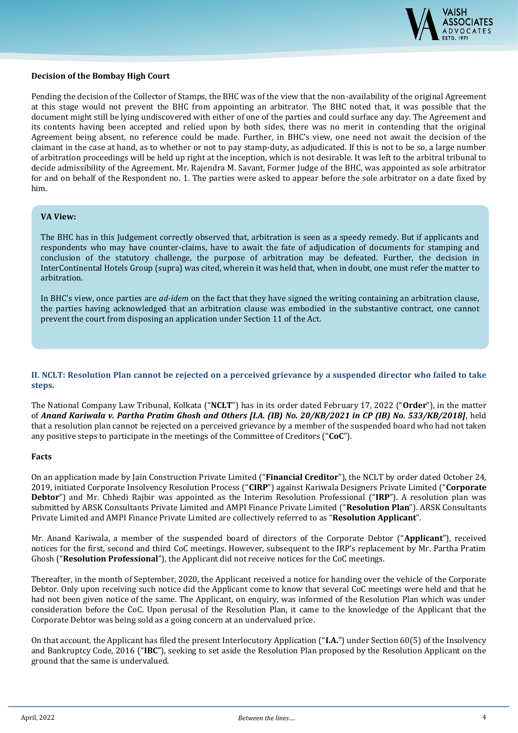

#### **Decision of the Bombay High Court**

Pending the decision of the Collector of Stamps, the BHC was of the view that the non-availability of the original Agreement at this stage would not prevent the BHC from appointing an arbitrator. The BHC noted that, it was possible that the document might still be lying undiscovered with either of one of the parties and could surface any day. The Agreement and its contents having been accepted and relied upon by both sides, there was no merit in contending that the original Agreement being absent, no reference could be made. Further, in BHC's view, one need not await the decision of the claimant in the case at hand, as to whether or not to pay stamp-duty, as adjudicated. If this is not to be so, a large number of arbitration proceedings will be held up right at the inception, which is not desirable. It was left to the arbitral tribunal to decide admissibility of the Agreement. Mr. Rajendra M. Savant, Former Judge of the BHC, was appointed as sole arbitrator for and on behalf of the Respondent no. 1. The parties were asked to appear before the sole arbitrator on a date fixed by him.

#### **VA View:**

The BHC has in this Judgement correctly observed that, arbitration is seen as a speedy remedy. But if applicants and respondents who may have counter-claims, have to await the fate of adjudication of documents for stamping and conclusion of the statutory challenge, the purpose of arbitration may be defeated. Further, the decision in InterContinental Hotels Group (supra) was cited, wherein it was held that, when in doubt, one must refer the matter to arbitration.

In BHC's view, once parties are *ad-idem* on the fact that they have signed the writing containing an arbitration clause, the parties having acknowledged that an arbitration clause was embodied in the substantive contract, one cannot prevent the court from disposing an application under Section 11 of the Act.

**II. NCLT: Resolution Plan cannot be rejected on a perceived grievance by a suspended director who failed to take steps.**

The National Company Law Tribunal, Kolkata ("**NCLT**") has in its order dated February 17, 2022 ("**Order**"), in the matter of *Anand Kariwala v. Partha Pratim Ghosh and Others [I.A. (IB) No. 20/KB/2021 in CP (IB) No. 533/KB/2018]*, held that a resolution plan cannot be rejected on a perceived grievance by a member of the suspended board who had not taken any positive steps to participate in the meetings of the Committee of Creditors ("**CoC**").

#### **Facts**

On an application made by Jain Construction Private Limited ("**Financial Creditor**"), the NCLT by order dated October 24, 2019, initiated Corporate Insolvency Resolution Process ("**CIRP**") against Kariwala Designers Private Limited ("**Corporate Debtor**") and Mr. Chhedi Rajbir was appointed as the Interim Resolution Professional ("**IRP**"). A resolution plan was submitted by ARSK Consultants Private Limited and AMPI Finance Private Limited ("**Resolution Plan**"). ARSK Consultants Private Limited and AMPI Finance Private Limited are collectively referred to as "**Resolution Applicant**".

Mr. Anand Kariwala, a member of the suspended board of directors of the Corporate Debtor ("**Applicant**"), received notices for the first, second and third CoC meetings. However, subsequent to the IRP's replacement by Mr. Partha Pratim Ghosh ("**Resolution Professional**"), the Applicant did not receive notices for the CoC meetings.

Thereafter, in the month of September, 2020, the Applicant received a notice for handing over the vehicle of the Corporate Debtor. Only upon receiving such notice did the Applicant come to know that several CoC meetings were held and that he had not been given notice of the same. The Applicant, on enquiry, was informed of the Resolution Plan which was under consideration before the CoC. Upon perusal of the Resolution Plan, it came to the knowledge of the Applicant that the Corporate Debtor was being sold as a going concern at an undervalued price.

On that account, the Applicant has filed the present Interlocutory Application ("**I.A.**") under Section 60(5) of the Insolvency and Bankruptcy Code, 2016 ("**IBC**"), seeking to set aside the Resolution Plan proposed by the Resolution Applicant on the ground that the same is undervalued.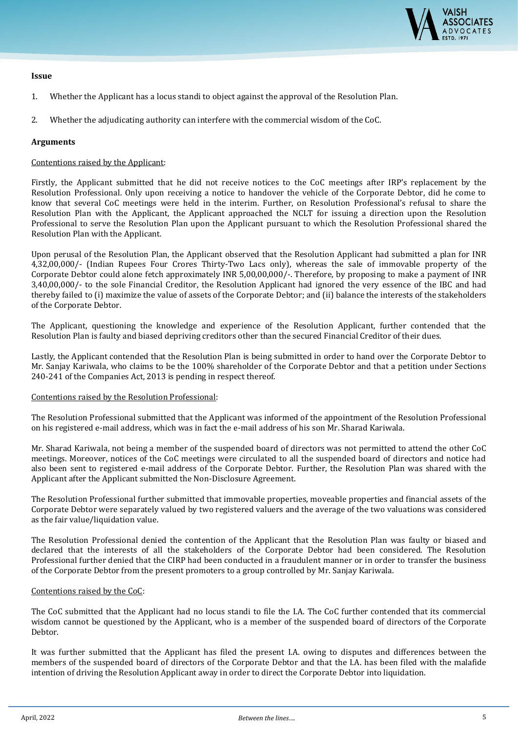

#### **Issue**

- 1. Whether the Applicant has a locus standi to object against the approval of the Resolution Plan.
- 2. Whether the adjudicating authority can interfere with the commercial wisdom of the CoC.

#### **Arguments**

#### Contentions raised by the Applicant:

Firstly, the Applicant submitted that he did not receive notices to the CoC meetings after IRP's replacement by the Resolution Professional. Only upon receiving a notice to handover the vehicle of the Corporate Debtor, did he come to know that several CoC meetings were held in the interim. Further, on Resolution Professional's refusal to share the Resolution Plan with the Applicant, the Applicant approached the NCLT for issuing a direction upon the Resolution Professional to serve the Resolution Plan upon the Applicant pursuant to which the Resolution Professional shared the Resolution Plan with the Applicant.

Upon perusal of the Resolution Plan, the Applicant observed that the Resolution Applicant had submitted a plan for INR 4,32,00,000/- (Indian Rupees Four Crores Thirty-Two Lacs only), whereas the sale of immovable property of the Corporate Debtor could alone fetch approximately INR 5,00,00,000/-. Therefore, by proposing to make a payment of INR 3,40,00,000/- to the sole Financial Creditor, the Resolution Applicant had ignored the very essence of the IBC and had thereby failed to (i) maximize the value of assets of the Corporate Debtor; and (ii) balance the interests of the stakeholders of the Corporate Debtor.

The Applicant, questioning the knowledge and experience of the Resolution Applicant, further contended that the Resolution Plan is faulty and biased depriving creditors other than the secured Financial Creditor of their dues.

Lastly, the Applicant contended that the Resolution Plan is being submitted in order to hand over the Corporate Debtor to Mr. Sanjay Kariwala, who claims to be the 100% shareholder of the Corporate Debtor and that a petition under Sections 240-241 of the Companies Act, 2013 is pending in respect thereof.

#### Contentions raised by the Resolution Professional:

The Resolution Professional submitted that the Applicant was informed of the appointment of the Resolution Professional on his registered e-mail address, which was in fact the e-mail address of his son Mr. Sharad Kariwala.

Mr. Sharad Kariwala, not being a member of the suspended board of directors was not permitted to attend the other CoC meetings. Moreover, notices of the CoC meetings were circulated to all the suspended board of directors and notice had also been sent to registered e-mail address of the Corporate Debtor. Further, the Resolution Plan was shared with the Applicant after the Applicant submitted the Non-Disclosure Agreement.

The Resolution Professional further submitted that immovable properties, moveable properties and financial assets of the Corporate Debtor were separately valued by two registered valuers and the average of the two valuations was considered as the fair value/liquidation value.

The Resolution Professional denied the contention of the Applicant that the Resolution Plan was faulty or biased and declared that the interests of all the stakeholders of the Corporate Debtor had been considered. The Resolution Professional further denied that the CIRP had been conducted in a fraudulent manner or in order to transfer the business of the Corporate Debtor from the present promoters to a group controlled by Mr. Sanjay Kariwala.

#### Contentions raised by the CoC:

The CoC submitted that the Applicant had no locus standi to file the I.A. The CoC further contended that its commercial wisdom cannot be questioned by the Applicant, who is a member of the suspended board of directors of the Corporate Debtor.

It was further submitted that the Applicant has filed the present I.A. owing to disputes and differences between the members of the suspended board of directors of the Corporate Debtor and that the I.A. has been filed with the malafide intention of driving the Resolution Applicant away in order to direct the Corporate Debtor into liquidation.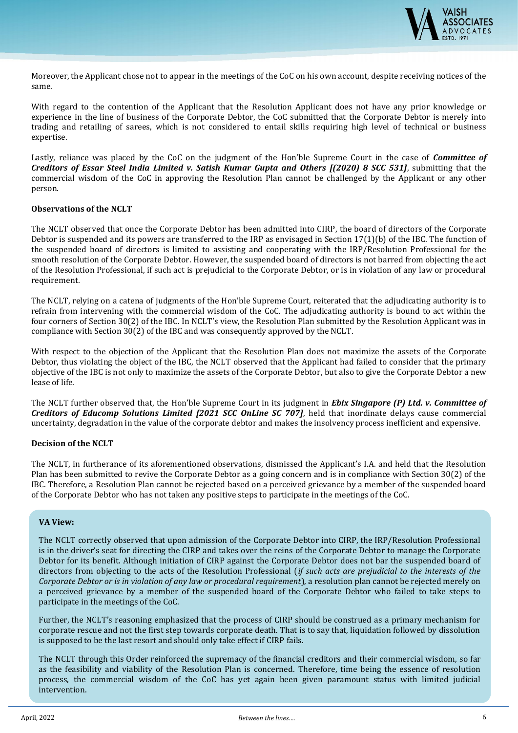

Moreover, the Applicant chose not to appear in the meetings of the CoC on his own account, despite receiving notices of the same.

With regard to the contention of the Applicant that the Resolution Applicant does not have any prior knowledge or experience in the line of business of the Corporate Debtor, the CoC submitted that the Corporate Debtor is merely into trading and retailing of sarees, which is not considered to entail skills requiring high level of technical or business expertise.

Lastly, reliance was placed by the CoC on the judgment of the Hon'ble Supreme Court in the case of *Committee of Creditors of Essar Steel India Limited v. Satish Kumar Gupta and Others [(2020) 8 SCC 531]*, submitting that the commercial wisdom of the CoC in approving the Resolution Plan cannot be challenged by the Applicant or any other person.

#### **Observations of the NCLT**

The NCLT observed that once the Corporate Debtor has been admitted into CIRP, the board of directors of the Corporate Debtor is suspended and its powers are transferred to the IRP as envisaged in Section 17(1)(b) of the IBC. The function of the suspended board of directors is limited to assisting and cooperating with the IRP/Resolution Professional for the smooth resolution of the Corporate Debtor. However, the suspended board of directors is not barred from objecting the act of the Resolution Professional, if such act is prejudicial to the Corporate Debtor, or is in violation of any law or procedural requirement.

The NCLT, relying on a catena of judgments of the Hon'ble Supreme Court, reiterated that the adjudicating authority is to refrain from intervening with the commercial wisdom of the CoC. The adjudicating authority is bound to act within the four corners of Section 30(2) of the IBC. In NCLT's view, the Resolution Plan submitted by the Resolution Applicant was in compliance with Section 30(2) of the IBC and was consequently approved by the NCLT.

With respect to the objection of the Applicant that the Resolution Plan does not maximize the assets of the Corporate Debtor, thus violating the object of the IBC, the NCLT observed that the Applicant had failed to consider that the primary objective of the IBC is not only to maximize the assets of the Corporate Debtor, but also to give the Corporate Debtor a new lease of life.

The NCLT further observed that, the Hon'ble Supreme Court in its judgment in *Ebix Singapore (P) Ltd. v. Committee of Creditors of Educomp Solutions Limited [2021 SCC OnLine SC 707]*, held that inordinate delays cause commercial uncertainty, degradation in the value of the corporate debtor and makes the insolvency process inefficient and expensive.

#### **Decision of the NCLT**

The NCLT, in furtherance of its aforementioned observations, dismissed the Applicant's I.A. and held that the Resolution Plan has been submitted to revive the Corporate Debtor as a going concern and is in compliance with Section 30(2) of the IBC. Therefore, a Resolution Plan cannot be rejected based on a perceived grievance by a member of the suspended board of the Corporate Debtor who has not taken any positive steps to participate in the meetings of the CoC.

#### **VA View:**

The NCLT correctly observed that upon admission of the Corporate Debtor into CIRP, the IRP/Resolution Professional is in the driver's seat for directing the CIRP and takes over the reins of the Corporate Debtor to manage the Corporate Debtor for its benefit. Although initiation of CIRP against the Corporate Debtor does not bar the suspended board of directors from objecting to the acts of the Resolution Professional (*if such acts are prejudicial to the interests of the Corporate Debtor or is in violation of any law or procedural requirement*), a resolution plan cannot be rejected merely on a perceived grievance by a member of the suspended board of the Corporate Debtor who failed to take steps to participate in the meetings of the CoC.

Further, the NCLT's reasoning emphasized that the process of CIRP should be construed as a primary mechanism for corporate rescue and not the first step towards corporate death. That is to say that, liquidation followed by dissolution is supposed to be the last resort and should only take effect if CIRP fails.

The NCLT through this Order reinforced the supremacy of the financial creditors and their commercial wisdom, so far as the feasibility and viability of the Resolution Plan is concerned. Therefore, time being the essence of resolution process, the commercial wisdom of the CoC has yet again been given paramount status with limited judicial intervention.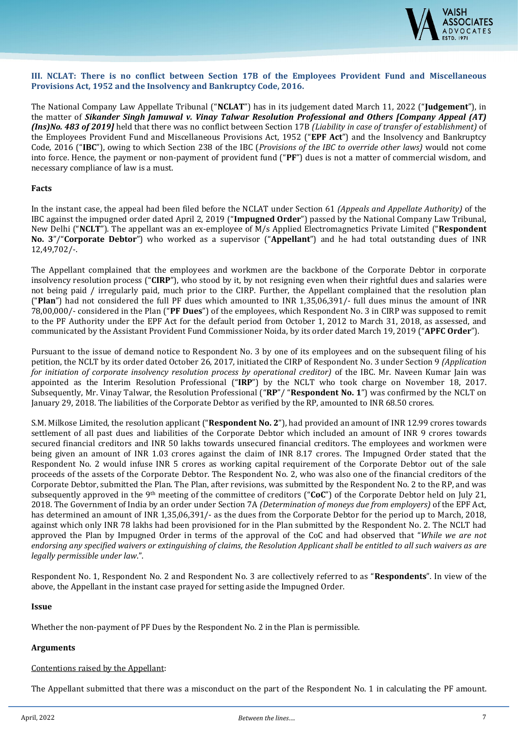

#### **III. NCLAT: There is no conflict between Section 17B of the Employees Provident Fund and Miscellaneous Provisions Act, 1952 and the Insolvency and Bankruptcy Code, 2016.**

The National Company Law Appellate Tribunal ("**NCLAT**") has in its judgement dated March 11, 2022 ("**Judgement**"), in the matter of *Sikander Singh Jamuwal v. Vinay Talwar Resolution Professional and Others [Company Appeal (AT) (Ins)No. 483 of 2019]* held that there was no conflict between Section 17B *(Liability in case of transfer of establishment)* of the Employees Provident Fund and Miscellaneous Provisions Act, 1952 ("**EPF Act**") and the Insolvency and Bankruptcy Code, 2016 ("**IBC**"), owing to which Section 238 of the IBC (*Provisions of the IBC to override other laws)* would not come into force. Hence, the payment or non-payment of provident fund ("**PF**") dues is not a matter of commercial wisdom, and necessary compliance of law is a must.

#### **Facts**

In the instant case, the appeal had been filed before the NCLAT under Section 61 *(Appeals and Appellate Authority)* of the IBC against the impugned order dated April 2, 2019 ("**Impugned Order**") passed by the National Company Law Tribunal, New Delhi ("**NCLT**"). The appellant was an ex-employee of M/s Applied Electromagnetics Private Limited ("**Respondent No. 3**"/"**Corporate Debtor**") who worked as a supervisor ("**Appellant**") and he had total outstanding dues of INR 12,49,702/-.

The Appellant complained that the employees and workmen are the backbone of the Corporate Debtor in corporate insolvency resolution process ("**CIRP**"), who stood by it, by not resigning even when their rightful dues and salaries were not being paid / irregularly paid, much prior to the CIRP. Further, the Appellant complained that the resolution plan ("**Plan**") had not considered the full PF dues which amounted to INR 1,35,06,391/- full dues minus the amount of INR 78,00,000/- considered in the Plan ("**PF Dues**") of the employees, which Respondent No. 3 in CIRP was supposed to remit to the PF Authority under the EPF Act for the default period from October 1, 2012 to March 31, 2018, as assessed, and communicated by the Assistant Provident Fund Commissioner Noida, by its order dated March 19, 2019 ("**APFC Order**").

Pursuant to the issue of demand notice to Respondent No. 3 by one of its employees and on the subsequent filing of his petition, the NCLT by its order dated October 26, 2017, initiated the CIRP of Respondent No. 3 under Section 9 *(Application for initiation of corporate insolvency resolution process by operational creditor)* of the IBC. Mr. Naveen Kumar Jain was appointed as the Interim Resolution Professional ("**IRP**") by the NCLT who took charge on November 18, 2017. Subsequently, Mr. Vinay Talwar, the Resolution Professional ("**RP**"/ "**Respondent No. 1**") was confirmed by the NCLT on January 29, 2018. The liabilities of the Corporate Debtor as verified by the RP, amounted to INR 68.50 crores.

S.M. Milkose Limited, the resolution applicant ("**Respondent No. 2**"), had provided an amount of INR 12.99 crores towards settlement of all past dues and liabilities of the Corporate Debtor which included an amount of INR 9 crores towards secured financial creditors and INR 50 lakhs towards unsecured financial creditors. The employees and workmen were being given an amount of INR 1.03 crores against the claim of INR 8.17 crores. The Impugned Order stated that the Respondent No. 2 would infuse INR 5 crores as working capital requirement of the Corporate Debtor out of the sale proceeds of the assets of the Corporate Debtor. The Respondent No. 2, who was also one of the financial creditors of the Corporate Debtor, submitted the Plan. The Plan, after revisions, was submitted by the Respondent No. 2 to the RP, and was subsequently approved in the 9th meeting of the committee of creditors ("**CoC**") of the Corporate Debtor held on July 21, 2018. The Government of India by an order under Section 7A *(Determination of moneys due from employers)* of the EPF Act, has determined an amount of INR 1,35,06,391/- as the dues from the Corporate Debtor for the period up to March, 2018, against which only INR 78 lakhs had been provisioned for in the Plan submitted by the Respondent No. 2. The NCLT had approved the Plan by Impugned Order in terms of the approval of the CoC and had observed that "*While we are not endorsing any specified waivers or extinguishing of claims, the Resolution Applicant shall be entitled to all such waivers as are legally permissible under law*.".

Respondent No. 1, Respondent No. 2 and Respondent No. 3 are collectively referred to as "**Respondents**". In view of the above, the Appellant in the instant case prayed for setting aside the Impugned Order.

#### **Issue**

Whether the non-payment of PF Dues by the Respondent No. 2 in the Plan is permissible.

#### **Arguments**

#### Contentions raised by the Appellant:

The Appellant submitted that there was a misconduct on the part of the Respondent No. 1 in calculating the PF amount.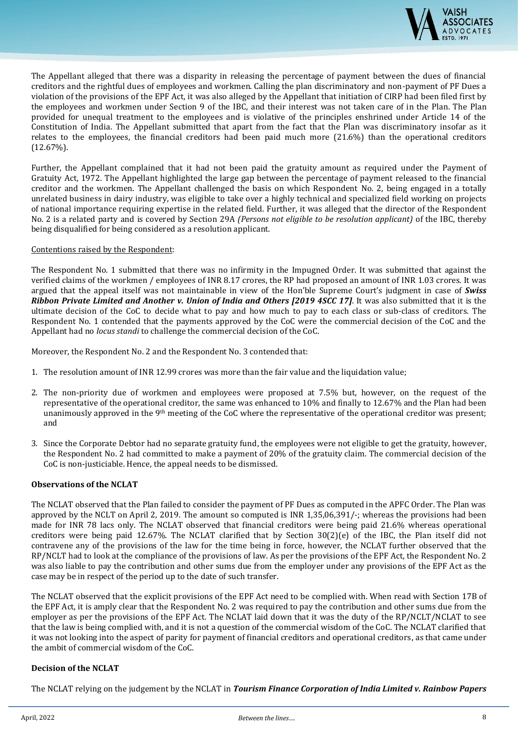

The Appellant alleged that there was a disparity in releasing the percentage of payment between the dues of financial creditors and the rightful dues of employees and workmen. Calling the plan discriminatory and non-payment of PF Dues a violation of the provisions of the EPF Act, it was also alleged by the Appellant that initiation of CIRP had been filed first by the employees and workmen under Section 9 of the IBC, and their interest was not taken care of in the Plan. The Plan provided for unequal treatment to the employees and is violative of the principles enshrined under Article 14 of the Constitution of India. The Appellant submitted that apart from the fact that the Plan was discriminatory insofar as it relates to the employees, the financial creditors had been paid much more (21.6%) than the operational creditors (12.67%).

Further, the Appellant complained that it had not been paid the gratuity amount as required under the Payment of Gratuity Act, 1972. The Appellant highlighted the large gap between the percentage of payment released to the financial creditor and the workmen. The Appellant challenged the basis on which Respondent No. 2, being engaged in a totally unrelated business in dairy industry, was eligible to take over a highly technical and specialized field working on projects of national importance requiring expertise in the related field. Further, it was alleged that the director of the Respondent No. 2 is a related party and is covered by Section 29A *(Persons not eligible to be resolution applicant)* of the IBC, thereby being disqualified for being considered as a resolution applicant.

#### Contentions raised by the Respondent:

The Respondent No. 1 submitted that there was no infirmity in the Impugned Order. It was submitted that against the verified claims of the workmen / employees of INR 8.17 crores, the RP had proposed an amount of INR 1.03 crores. It was argued that the appeal itself was not maintainable in view of the Hon'ble Supreme Court's judgment in case of *Swiss Ribbon Private Limited and Another v. Union of India and Others [2019 4SCC 17]*. It was also submitted that it is the ultimate decision of the CoC to decide what to pay and how much to pay to each class or sub-class of creditors. The Respondent No. 1 contended that the payments approved by the CoC were the commercial decision of the CoC and the Appellant had no *locus standi* to challenge the commercial decision of the CoC.

Moreover, the Respondent No. 2 and the Respondent No. 3 contended that:

- 1. The resolution amount of INR 12.99 crores was more than the fair value and the liquidation value;
- 2. The non-priority due of workmen and employees were proposed at 7.5% but, however, on the request of the representative of the operational creditor, the same was enhanced to 10% and finally to 12.67% and the Plan had been unanimously approved in the 9th meeting of the CoC where the representative of the operational creditor was present; and
- 3. Since the Corporate Debtor had no separate gratuity fund, the employees were not eligible to get the gratuity, however, the Respondent No. 2 had committed to make a payment of 20% of the gratuity claim. The commercial decision of the CoC is non-justiciable. Hence, the appeal needs to be dismissed.

#### **Observations of the NCLAT**

The NCLAT observed that the Plan failed to consider the payment of PF Dues as computed in the APFC Order. The Plan was approved by the NCLT on April 2, 2019. The amount so computed is INR 1,35,06,391/-; whereas the provisions had been made for INR 78 lacs only. The NCLAT observed that financial creditors were being paid 21.6% whereas operational creditors were being paid 12.67%. The NCLAT clarified that by Section 30(2)(e) of the IBC, the Plan itself did not contravene any of the provisions of the law for the time being in force, however, the NCLAT further observed that the RP/NCLT had to look at the compliance of the provisions of law. As per the provisions of the EPF Act, the Respondent No. 2 was also liable to pay the contribution and other sums due from the employer under any provisions of the EPF Act as the case may be in respect of the period up to the date of such transfer.

The NCLAT observed that the explicit provisions of the EPF Act need to be complied with. When read with Section 17B of the EPF Act, it is amply clear that the Respondent No. 2 was required to pay the contribution and other sums due from the employer as per the provisions of the EPF Act. The NCLAT laid down that it was the duty of the RP/NCLT/NCLAT to see that the law is being complied with, and it is not a question of the commercial wisdom of the CoC. The NCLAT clarified that it was not looking into the aspect of parity for payment of financial creditors and operational creditors, as that came under the ambit of commercial wisdom of the CoC.

#### **Decision of the NCLAT**

The NCLAT relying on the judgement by the NCLAT in *Tourism Finance Corporation of India Limited v. Rainbow Papers*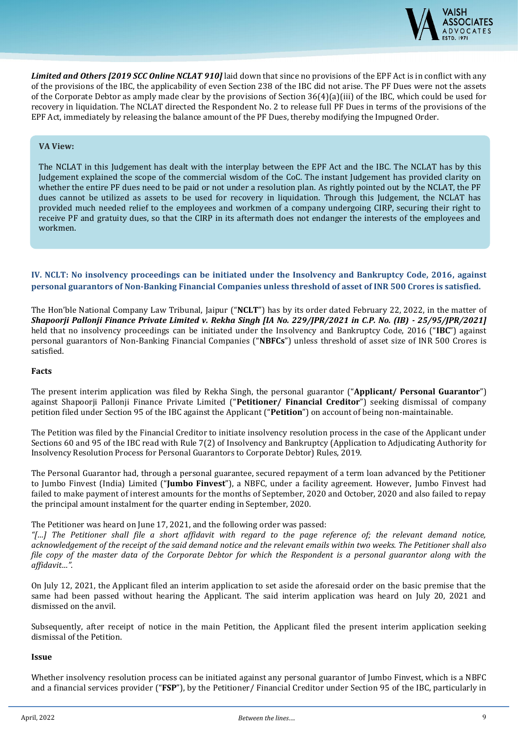

*Limited and Others [2019 SCC Online NCLAT 910]* laid down that since no provisions of the EPF Act is in conflict with any of the provisions of the IBC, the applicability of even Section 238 of the IBC did not arise. The PF Dues were not the assets of the Corporate Debtor as amply made clear by the provisions of Section 36(4)(a)(iii) of the IBC, which could be used for recovery in liquidation. The NCLAT directed the Respondent No. 2 to release full PF Dues in terms of the provisions of the EPF Act, immediately by releasing the balance amount of the PF Dues, thereby modifying the Impugned Order.

#### **VA View:**

The NCLAT in this Judgement has dealt with the interplay between the EPF Act and the IBC. The NCLAT has by this Judgement explained the scope of the commercial wisdom of the CoC. The instant Judgement has provided clarity on whether the entire PF dues need to be paid or not under a resolution plan. As rightly pointed out by the NCLAT, the PF dues cannot be utilized as assets to be used for recovery in liquidation. Through this Judgement, the NCLAT has provided much needed relief to the employees and workmen of a company undergoing CIRP, securing their right to receive PF and gratuity dues, so that the CIRP in its aftermath does not endanger the interests of the employees and workmen.

#### **IV. NCLT: No insolvency proceedings can be initiated under the Insolvency and Bankruptcy Code, 2016, against personal guarantors of Non-Banking Financial Companies unless threshold of asset of INR 500 Crores is satisfied.**

The Hon'ble National Company Law Tribunal, Jaipur ("**NCLT**") has by its order dated February 22, 2022, in the matter of *Shapoorji Pallonji Finance Private Limited v. Rekha Singh [IA No. 229/JPR/2021 in C.P. No. (IB) - 25/95/JPR/2021]*  held that no insolvency proceedings can be initiated under the Insolvency and Bankruptcy Code, 2016 ("**IBC**") against personal guarantors of Non-Banking Financial Companies ("**NBFCs**") unless threshold of asset size of INR 500 Crores is satisfied.

#### **Facts**

The present interim application was filed by Rekha Singh, the personal guarantor ("**Applicant/ Personal Guarantor**") against Shapoorji Pallonji Finance Private Limited ("**Petitioner/ Financial Creditor**") seeking dismissal of company petition filed under Section 95 of the IBC against the Applicant ("**Petition**") on account of being non-maintainable.

The Petition was filed by the Financial Creditor to initiate insolvency resolution process in the case of the Applicant under Sections 60 and 95 of the IBC read with Rule 7(2) of Insolvency and Bankruptcy (Application to Adjudicating Authority for Insolvency Resolution Process for Personal Guarantors to Corporate Debtor) Rules, 2019.

The Personal Guarantor had, through a personal guarantee, secured repayment of a term loan advanced by the Petitioner to Jumbo Finvest (India) Limited ("**Jumbo Finvest**"), a NBFC, under a facility agreement. However, Jumbo Finvest had failed to make payment of interest amounts for the months of September, 2020 and October, 2020 and also failed to repay the principal amount instalment for the quarter ending in September, 2020.

#### The Petitioner was heard on June 17, 2021, and the following order was passed:

*"[…] The Petitioner shall file a short affidavit with regard to the page reference of; the relevant demand notice, acknowledgement of the receipt of the said demand notice and the relevant emails within two weeks. The Petitioner shall also file copy of the master data of the Corporate Debtor for which the Respondent is a personal guarantor along with the affidavit…"*.

On July 12, 2021, the Applicant filed an interim application to set aside the aforesaid order on the basic premise that the same had been passed without hearing the Applicant. The said interim application was heard on July 20, 2021 and dismissed on the anvil.

Subsequently, after receipt of notice in the main Petition, the Applicant filed the present interim application seeking dismissal of the Petition.

#### **Issue**

Whether insolvency resolution process can be initiated against any personal guarantor of Jumbo Finvest, which is a NBFC and a financial services provider ("**FSP**"), by the Petitioner/ Financial Creditor under Section 95 of the IBC, particularly in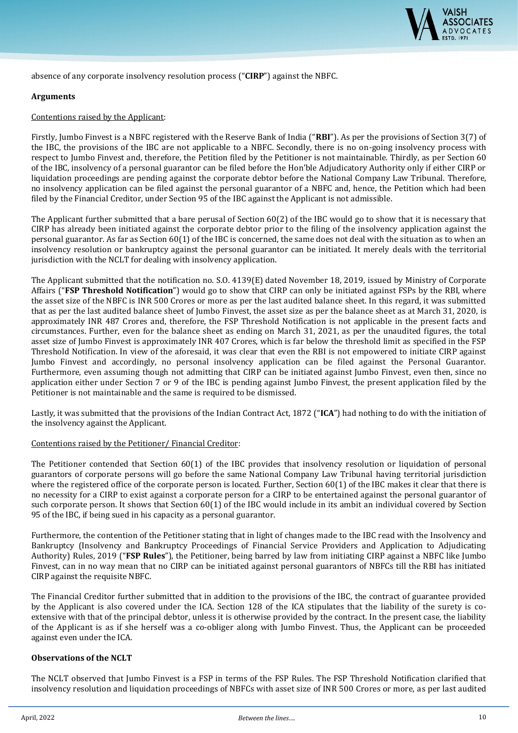

absence of any corporate insolvency resolution process ("**CIRP**") against the NBFC.

#### **Arguments**

#### Contentions raised by the Applicant:

Firstly, Jumbo Finvest is a NBFC registered with the Reserve Bank of India ("**RBI**"). As per the provisions of Section 3(7) of the IBC, the provisions of the IBC are not applicable to a NBFC. Secondly, there is no on-going insolvency process with respect to Jumbo Finvest and, therefore, the Petition filed by the Petitioner is not maintainable. Thirdly, as per Section 60 of the IBC, insolvency of a personal guarantor can be filed before the Hon'ble Adjudicatory Authority only if either CIRP or liquidation proceedings are pending against the corporate debtor before the National Company Law Tribunal. Therefore, no insolvency application can be filed against the personal guarantor of a NBFC and, hence, the Petition which had been filed by the Financial Creditor, under Section 95 of the IBC against the Applicant is not admissible.

The Applicant further submitted that a bare perusal of Section 60(2) of the IBC would go to show that it is necessary that CIRP has already been initiated against the corporate debtor prior to the filing of the insolvency application against the personal guarantor. As far as Section 60(1) of the IBC is concerned, the same does not deal with the situation as to when an insolvency resolution or bankruptcy against the personal guarantor can be initiated. It merely deals with the territorial jurisdiction with the NCLT for dealing with insolvency application.

The Applicant submitted that the notification no. S.O. 4139(E) dated November 18, 2019, issued by Ministry of Corporate Affairs ("**FSP Threshold Notification**") would go to show that CIRP can only be initiated against FSPs by the RBI, where the asset size of the NBFC is INR 500 Crores or more as per the last audited balance sheet. In this regard, it was submitted that as per the last audited balance sheet of Jumbo Finvest, the asset size as per the balance sheet as at March 31, 2020, is approximately INR 487 Crores and, therefore, the FSP Threshold Notification is not applicable in the present facts and circumstances. Further, even for the balance sheet as ending on March 31, 2021, as per the unaudited figures, the total asset size of Jumbo Finvest is approximately INR 407 Crores, which is far below the threshold limit as specified in the FSP Threshold Notification. In view of the aforesaid, it was clear that even the RBI is not empowered to initiate CIRP against Jumbo Finvest and accordingly, no personal insolvency application can be filed against the Personal Guarantor. Furthermore, even assuming though not admitting that CIRP can be initiated against Jumbo Finvest, even then, since no application either under Section 7 or 9 of the IBC is pending against Jumbo Finvest, the present application filed by the Petitioner is not maintainable and the same is required to be dismissed.

Lastly, it was submitted that the provisions of the Indian Contract Act, 1872 ("**ICA**") had nothing to do with the initiation of the insolvency against the Applicant.

#### Contentions raised by the Petitioner/ Financial Creditor:

The Petitioner contended that Section 60(1) of the IBC provides that insolvency resolution or liquidation of personal guarantors of corporate persons will go before the same National Company Law Tribunal having territorial jurisdiction where the registered office of the corporate person is located. Further, Section 60(1) of the IBC makes it clear that there is no necessity for a CIRP to exist against a corporate person for a CIRP to be entertained against the personal guarantor of such corporate person. It shows that Section 60(1) of the IBC would include in its ambit an individual covered by Section 95 of the IBC, if being sued in his capacity as a personal guarantor.

Furthermore, the contention of the Petitioner stating that in light of changes made to the IBC read with the Insolvency and Bankruptcy (Insolvency and Bankruptcy Proceedings of Financial Service Providers and Application to Adjudicating Authority) Rules, 2019 ("**FSP Rules**"), the Petitioner, being barred by law from initiating CIRP against a NBFC like Jumbo Finvest, can in no way mean that no CIRP can be initiated against personal guarantors of NBFCs till the RBI has initiated CIRP against the requisite NBFC.

The Financial Creditor further submitted that in addition to the provisions of the IBC, the contract of guarantee provided by the Applicant is also covered under the ICA. Section 128 of the ICA stipulates that the liability of the surety is coextensive with that of the principal debtor, unless it is otherwise provided by the contract. In the present case, the liability of the Applicant is as if she herself was a co-obliger along with Jumbo Finvest. Thus, the Applicant can be proceeded against even under the ICA.

#### **Observations of the NCLT**

The NCLT observed that Jumbo Finvest is a FSP in terms of the FSP Rules. The FSP Threshold Notification clarified that insolvency resolution and liquidation proceedings of NBFCs with asset size of INR 500 Crores or more, as per last audited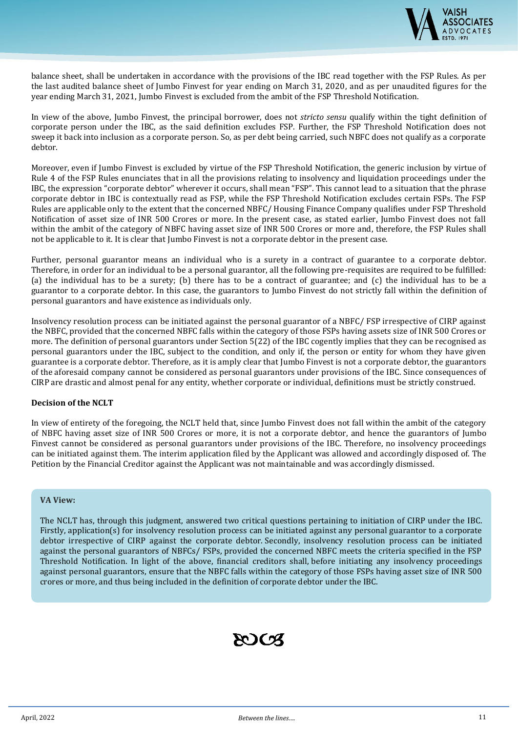

balance sheet, shall be undertaken in accordance with the provisions of the IBC read together with the FSP Rules. As per the last audited balance sheet of Jumbo Finvest for year ending on March 31, 2020, and as per unaudited figures for the year ending March 31, 2021, Jumbo Finvest is excluded from the ambit of the FSP Threshold Notification.

In view of the above, Jumbo Finvest, the principal borrower, does not *stricto sensu* qualify within the tight definition of corporate person under the IBC, as the said definition excludes FSP. Further, the FSP Threshold Notification does not sweep it back into inclusion as a corporate person. So, as per debt being carried, such NBFC does not qualify as a corporate debtor.

Moreover, even if Jumbo Finvest is excluded by virtue of the FSP Threshold Notification, the generic inclusion by virtue of Rule 4 of the FSP Rules enunciates that in all the provisions relating to insolvency and liquidation proceedings under the IBC, the expression "corporate debtor" wherever it occurs, shall mean "FSP". This cannot lead to a situation that the phrase corporate debtor in IBC is contextually read as FSP, while the FSP Threshold Notification excludes certain FSPs. The FSP Rules are applicable only to the extent that the concerned NBFC/ Housing Finance Company qualifies under FSP Threshold Notification of asset size of INR 500 Crores or more. In the present case, as stated earlier, Jumbo Finvest does not fall within the ambit of the category of NBFC having asset size of INR 500 Crores or more and, therefore, the FSP Rules shall not be applicable to it. It is clear that Jumbo Finvest is not a corporate debtor in the present case.

Further, personal guarantor means an individual who is a surety in a contract of guarantee to a corporate debtor. Therefore, in order for an individual to be a personal guarantor, all the following pre-requisites are required to be fulfilled: (a) the individual has to be a surety; (b) there has to be a contract of guarantee; and (c) the individual has to be a guarantor to a corporate debtor. In this case, the guarantors to Jumbo Finvest do not strictly fall within the definition of personal guarantors and have existence as individuals only.

Insolvency resolution process can be initiated against the personal guarantor of a NBFC/ FSP irrespective of CIRP against the NBFC, provided that the concerned NBFC falls within the category of those FSPs having assets size of INR 500 Crores or more. The definition of personal guarantors under Section 5(22) of the IBC cogently implies that they can be recognised as personal guarantors under the IBC, subject to the condition, and only if, the person or entity for whom they have given guarantee is a corporate debtor. Therefore, as it is amply clear that Jumbo Finvest is not a corporate debtor, the guarantors of the aforesaid company cannot be considered as personal guarantors under provisions of the IBC. Since consequences of CIRP are drastic and almost penal for any entity, whether corporate or individual, definitions must be strictly construed.

#### **Decision of the NCLT**

In view of entirety of the foregoing, the NCLT held that, since Jumbo Finvest does not fall within the ambit of the category of NBFC having asset size of INR 500 Crores or more, it is not a corporate debtor, and hence the guarantors of Jumbo Finvest cannot be considered as personal guarantors under provisions of the IBC. Therefore, no insolvency proceedings can be initiated against them. The interim application filed by the Applicant was allowed and accordingly disposed of. The Petition by the Financial Creditor against the Applicant was not maintainable and was accordingly dismissed.

#### **VA View:**

The NCLT has, through this judgment, answered two critical questions pertaining to initiation of CIRP under the IBC. Firstly, application(s) for insolvency resolution process can be initiated against any personal guarantor to a corporate debtor irrespective of CIRP against the corporate debtor. Secondly, insolvency resolution process can be initiated against the personal guarantors of NBFCs/ FSPs, provided the concerned NBFC meets the criteria specified in the FSP Threshold Notification. In light of the above, financial creditors shall, before initiating any insolvency proceedings against personal guarantors, ensure that the NBFC falls within the category of those FSPs having asset size of INR 500 crores or more, and thus being included in the definition of corporate debtor under the IBC.